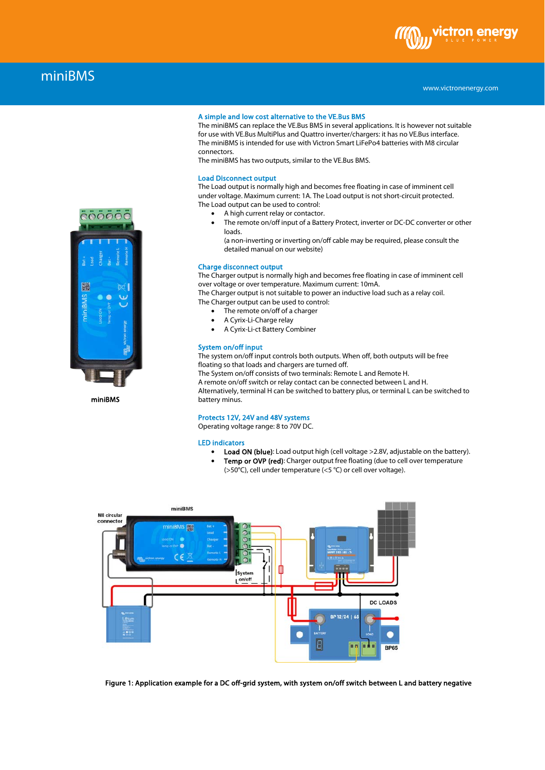

# miniBMS

## A simple and low cost alternative to the VE.Bus BMS

The miniBMS can replace the VE.Bus BMS in several applications. It is however not suitable for use with VE.Bus MultiPlus and Quattro inverter/chargers: it has no VE.Bus interface. The miniBMS is intended for use with Victron Smart LiFePo4 batteries with M8 circular connectors.

The miniBMS has two outputs, similar to the VE.Bus BMS.

## Load Disconnect output

The Load output is normally high and becomes free floating in case of imminent cell under voltage. Maximum current: 1A. The Load output is not short-circuit protected. The Load output can be used to control:

- A high current relay or contactor.
- The remote on/off input of a Battery Protect, inverter or DC-DC converter or other loads.

(a non-inverting or inverting on/off cable may be required, please consult the detailed manual on our website)

## Charge disconnect output

The Charger output is normally high and becomes free floating in case of imminent cell over voltage or over temperature. Maximum current: 10mA.

The Charger output is not suitable to power an inductive load such as a relay coil. The Charger output can be used to control:

- The remote on/off of a charger
- A Cyrix-Li-Charge relay
- A Cyrix-Li-ct Battery Combiner

## System on/off input

The system on/off input controls both outputs. When off, both outputs will be free floating so that loads and chargers are turned off.

The System on/off consists of two terminals: Remote L and Remote H.

A remote on/off switch or relay contact can be connected between L and H. Alternatively, terminal H can be switched to battery plus, or terminal L can be switched to battery minus.

#### Protects 12V, 24V and 48V systems

Operating voltage range: 8 to 70V DC.

#### LED indicators

- Load ON (blue): Load output high (cell voltage >2.8V, adjustable on the battery).
	- Temp or OVP (red): Charger output free floating (due to cell over temperature (>50°C), cell under temperature (<5 °C) or cell over voltage).
- miniBMS M8 circular connector niBMS | | | Syste  $1^{\circ n}$ **DC LOADS** BP 12/24 | 6 B la n Ŧ **BP65**

Figure 1: Application example for a DC off-grid system, with system on/off switch between L and battery negative



miniBMS